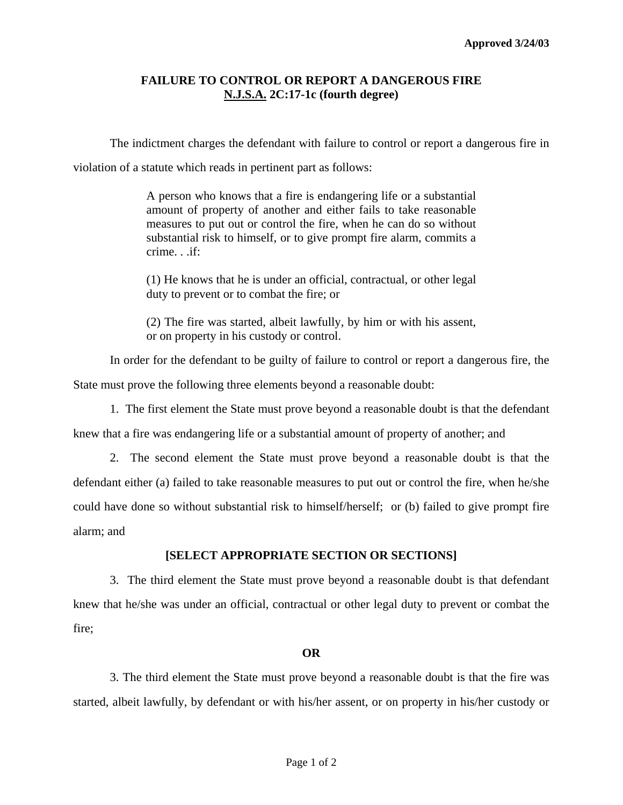## **FAILURE TO CONTROL OR REPORT A DANGEROUS FIRE N.J.S.A. 2C:17-1c (fourth degree)**

 The indictment charges the defendant with failure to control or report a dangerous fire in violation of a statute which reads in pertinent part as follows:

> A person who knows that a fire is endangering life or a substantial amount of property of another and either fails to take reasonable measures to put out or control the fire, when he can do so without substantial risk to himself, or to give prompt fire alarm, commits a crime. . .if:

> (1) He knows that he is under an official, contractual, or other legal duty to prevent or to combat the fire; or

> (2) The fire was started, albeit lawfully, by him or with his assent, or on property in his custody or control.

 In order for the defendant to be guilty of failure to control or report a dangerous fire, the State must prove the following three elements beyond a reasonable doubt:

 1. The first element the State must prove beyond a reasonable doubt is that the defendant knew that a fire was endangering life or a substantial amount of property of another; and

 2. The second element the State must prove beyond a reasonable doubt is that the defendant either (a) failed to take reasonable measures to put out or control the fire, when he/she could have done so without substantial risk to himself/herself; or (b) failed to give prompt fire alarm; and

## **[SELECT APPROPRIATE SECTION OR SECTIONS]**

 3. The third element the State must prove beyond a reasonable doubt is that defendant knew that he/she was under an official, contractual or other legal duty to prevent or combat the fire;

## **OR**

<span id="page-0-0"></span>3. The third element the State must prove beyond a reasonable doubt is that the fire was started, albeit lawfully, by defendant or with his/her assent, or on property in his/her custody or